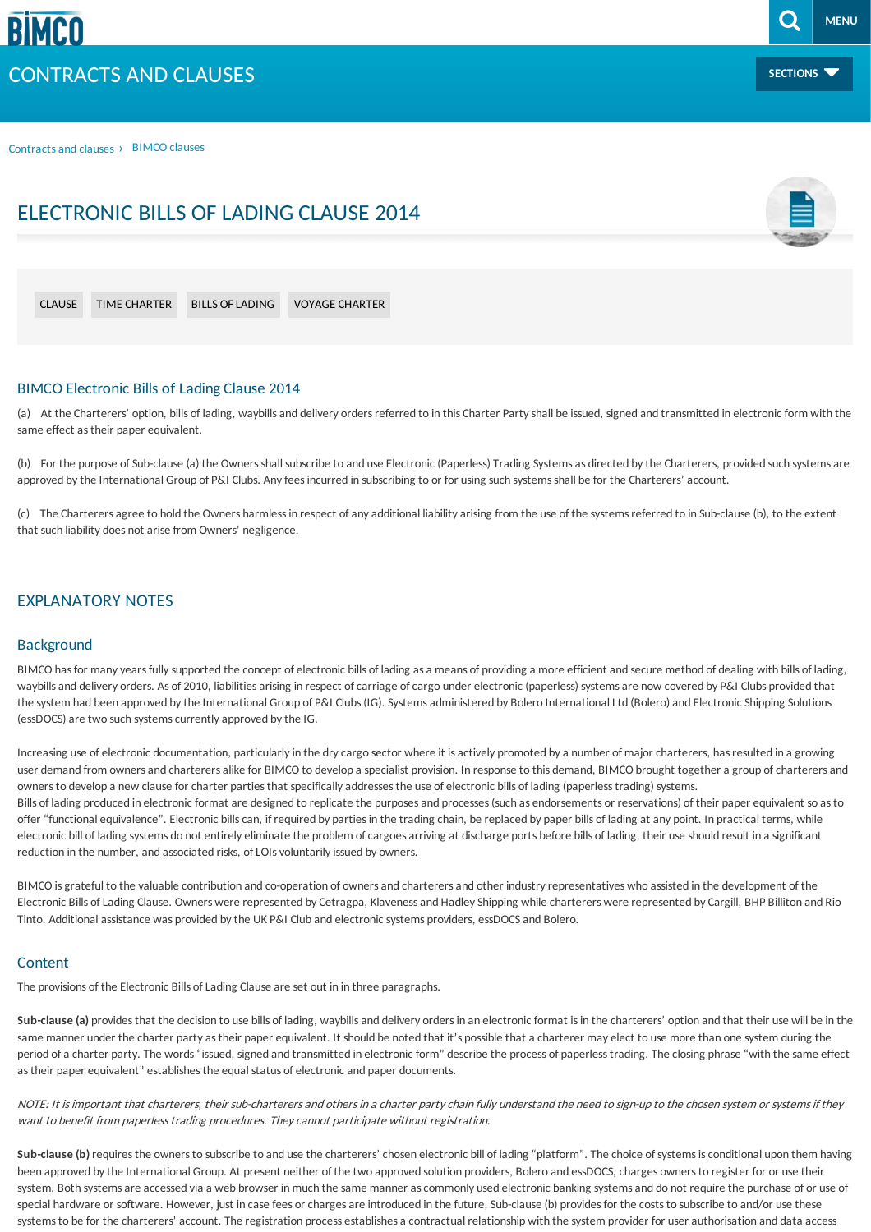**SECTIONS**

**[MENU](#page-2-0)**

[Contractsand](/contracts-and-clauses) clauses › BIMCO clauses

## ELECTRONIC BILLS OF LADING CLAUSE 2014



#### BIMCO Electronic Bills of Lading Clause 2014

(a) At the Charterers' option, bills of lading, waybills and delivery orders referred to in this Charter Party shall be issued, signed and transmitted in electronic form with the same effect as their paper equivalent.

(b) For the purpose of Sub-clause (a) the Owners shall subscribe to and use Electronic (Paperless) Trading Systems as directed by the Charterers, provided such systems are approved by the International Group of P&I Clubs. Any fees incurred in subscribing to or for using such systems shall be for the Charterers' account.

(c) The Charterersagree to hold the Owners harmlessin respect ofanyadditional liabilityarising from the use of the systemsreferred to in Sub-clause (b), to the extent that such liability does not arise from Owners' negligence.

## EXPLANATORY NOTES

#### Background

BIMCO has for many years fully supported the concept of electronic bills of lading as a means of providing a more efficient and secure method of dealing with bills of lading, waybills and delivery orders. As of 2010, liabilities arising in respect of carriage of cargo under electronic (paperless) systems are now covered by P&I Clubs provided that the system had been approved by the International Group of P&I Clubs (IG). Systems administered by Bolero International Ltd (Bolero) and Electronic Shipping Solutions (essDOCS) are two such systems currently approved by the IG.

Increasing use of electronic documentation, particularly in the dry cargo sector where it is actively promoted by a number of major charterers, has resulted in a growing user demand from owners and charterers alike for BIMCO to develop a specialist provision. In response to this demand, BIMCO brought together a group of charterers and ownersto develop a new clause for charter partiesthat specificallyaddressesthe use of electronic bills of lading (paperlesstrading) systems. Bills of lading produced in electronic format are designed to replicate the purposes and processes (such as endorsements or reservations) of their paper equivalent so as to offer "functional equivalence". Electronic billscan, if required by partiesin the trading chain, be replaced by paper bills of lading at any point. In practical terms, while electronic bill of lading systems do not entirely eliminate the problem of cargoes arriving at discharge ports before bills of lading, their use should result in a significant reduction in the number, and associated risks, of LOIs voluntarily issued by owners.

BIMCO is grateful to the valuable contribution and co-operation of owners and charterers and other industry representatives who assisted in the development of the Electronic Bills ofLading Clause. Owners were represented by Cetragpa, Klavenessand HadleyShipping while charterers were represented by Cargill, BHP Billiton and Rio Tinto. Additional assistance was provided by the UK P&I Club and electronic systems providers, essDOCS and Bolero.

#### **Content**

The provisions of the Electronic Bills of Lading Clause are set out in in three paragraphs.

Sub-clause (a) provides that the decision to use bills of lading, waybills and delivery orders in an electronic format is in the charterers' option and that their use will be in the same manner under the charter party as their paper equivalent. It should be noted that it's possible that a charterer may elect to use more than one system during the period ofa charter party. The words"issued, signed and transmitted in electronic form" describe the process of paperlesstrading. The closing phrase "with the same effect as their paper equivalent" establishes the equal status of electronic and paper documents.

NOTE: It is important that charterers, their sub-charterers and others in a charter party chain fully understand the need to sign-up to the chosen system or systems if they want to benefit from paperless trading procedures. They cannot participate without registration.

**Sub-clause (b)** requiresthe ownersto subscribe to and use the charterers' chosen electronic bill of lading "platform". The choice of systemsisconditional upon them having been approved by the International Group. At present neither of the two approved solution providers. Bolero and essDOCS, charges owners to register for or use their system. Both systems are accessed via a web browser in much the same manner as commonly used electronic banking systems and do not require the purchase of or use of special hardware or software. However, just in case fees or charges are introduced in the future, Sub-clause (b) provides for the costs to subscribe to and/or use these systems to be for the charterers' account. The registration process establishes a contractual relationship with the system provider for user authorisation and data access

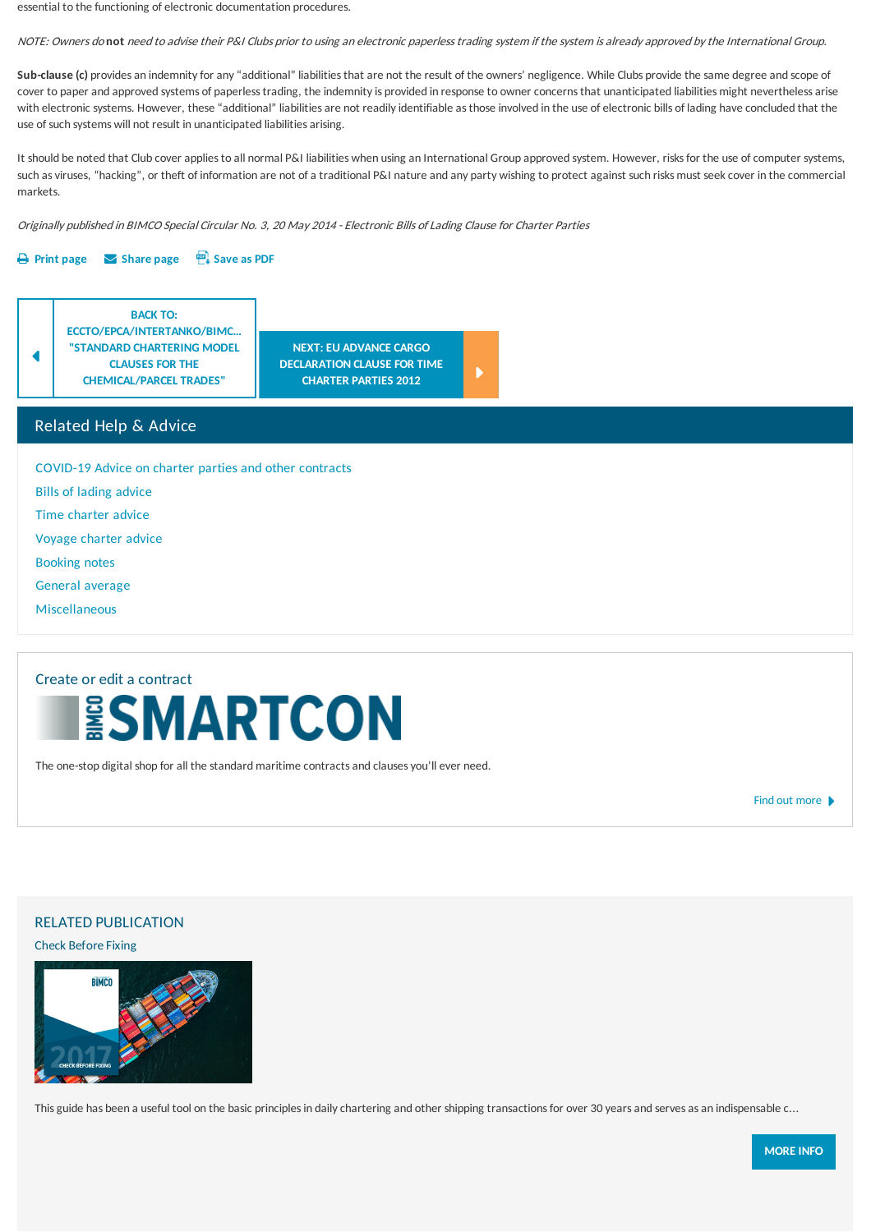essential to the functioning of electronic documentation procedures.

NOTE: Owners do **not** need to advise their P&I Clubs prior to using an electronic paperlesstrading system if the system isalreadyapproved bythe International Group.

Sub-clause (c) provides an indemnity for any "additional" liabilities that are not the result of the owners' negligence. While Clubs provide the same degree and scope of cover to paper and approved systems of paperless trading, the indemnity is provided in response to owner concerns that unanticipated liabilities might nevertheless arise with electronic systems. However, these "additional" liabilities are not readily identifiable as those involved in the use of electronic bills of lading have concluded that the use of such systems will not result in unanticipated liabilities arising.

It should be noted that Club cover applies to all normal P&I liabilities when using an International Group approved system. However, risks for the use of computer systems, such as viruses, "hacking", or theft of information are not of a traditional P&I nature and any party wishing to protect against such risks must seek cover in the commercial markets.

Originally published in BIMCO Special Circular No. 3, 20May 2014 -Electronic Bills ofLading Clause for Charter Parties

#### **[Print](javascript:window.print()) page [Share](mailto:?subject=Sharing Page From BIMCO&body=Hey, check this page out from BIMCO. %0D%0A %0D%0Ahttps://www.bimco.org:443/contracts-and-clauses/bimco-clauses/current/electronic-bills-of-lading-clause-2014) page [Save](/~/pdf/7da4278c-c634-4f13-8d2d-cb5a50f4cb65/Electronic-Bills-of-lading-Clause-2014.pdf) as PDF**



## Related Help & Advice

[COVID-19](/contracts-and-clauses/chartering-help-and-advice/novel-coronavirus/time-charter-and-covid19) Advice on charter parties and other contracts

Bills of lading [advice](/contracts-and-clauses/chartering-help-and-advice/bills-of-lading-advice/authority_to_sign_bills_of_lading)

Time [charter](/contracts-and-clauses/chartering-help-and-advice/time-charter-advice/approval-by-oil-majors) advice

[Voyage](/contracts-and-clauses/chartering-help-and-advice/voyage-charter-advice/about_about) charter advice

[Booking](/contracts-and-clauses/chartering-help-and-advice/booking-notes-and-waybills/booking-note) notes

[General](/contracts-and-clauses/chartering-help-and-advice/general-average/general_average_york-antwerp_rules_2016) average

[Miscellaneous](/contracts-and-clauses/chartering-help-and-advice/miscellaneous/alternative-arbitration-centres)

# Create or edita contract

The one-stop digital shop for all the standard maritime contracts and clauses you'll ever need.

Find out [more](/contracts-and-clauses/create-a-contract)

#### RELATED PUBLICATION

Check Before Fixing



This guide has been a useful tool on the basic principles in daily chartering and other shipping transactions for over 30 years and serves as an indispensable c...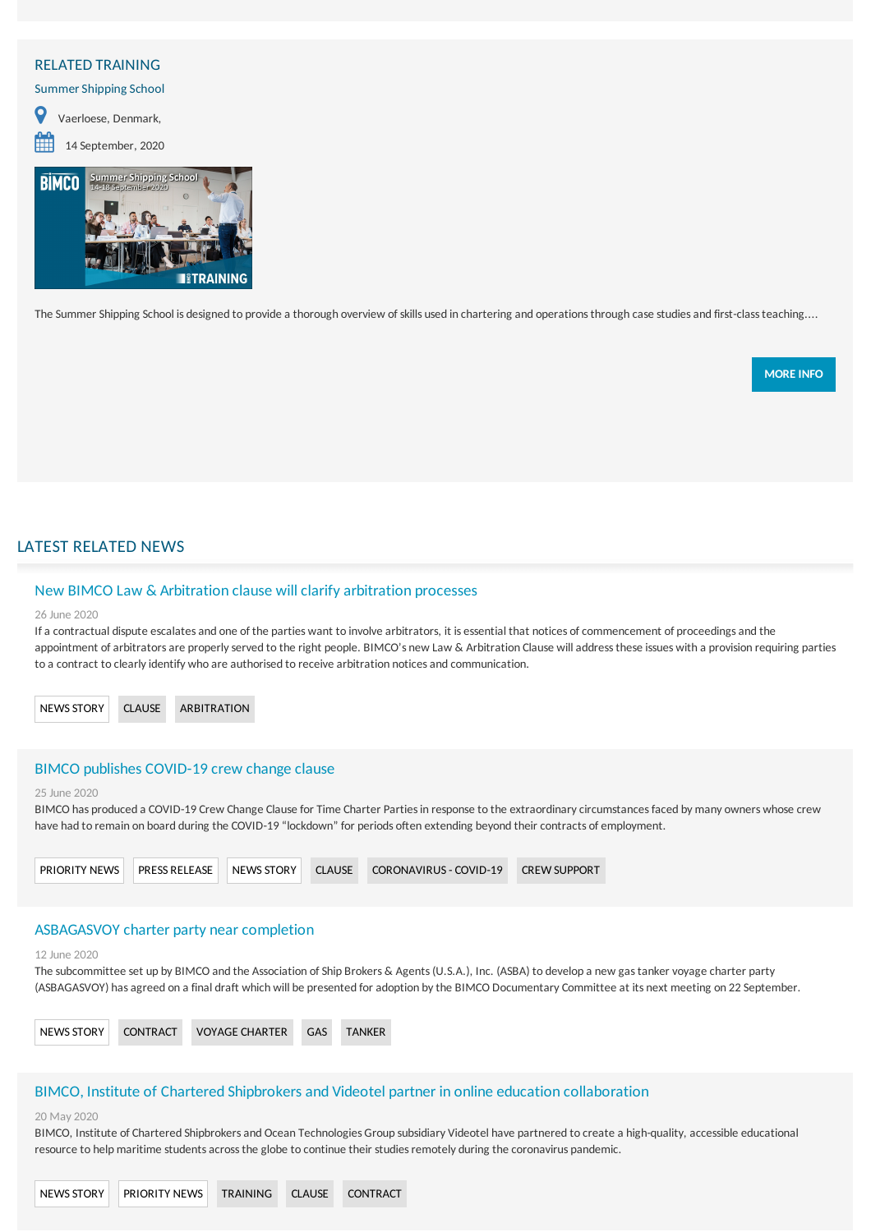### <span id="page-2-0"></span>RELATED TRAINING

Summer Shipping School

 Vaerloese, Denmark, <sup>14</sup> September, <sup>2020</sup>



The Summer Shipping School is designed to provide a thorough overview of skills used in chartering and operations through case studies and first-class teaching....

**[MOREINFO](/training/courses/2020/0914_summer-shipping-school_copenhagen)**

## LATEST RELATED NEWS

#### New BIMCO Law & Arbitration clause will [clarifyarbitration](/news/contracts-and-clauses/20200626-new-law-and-arbitration-clause) processes

#### 26 June 2020

If a contractual dispute escalates and one of the parties want to involve arbitrators, it is essential that notices of commencement of proceedings and the appointment of arbitrators are properly served to the right people. BIMCO's new Law & Arbitration Clause will address these issues with a provision requiring parties to a contract to clearly identify who are authorised to receive arbitration notices and communication.

[NEWSSTORY](/search-result?term=News story) [CLAUSE](/search-result?term=Clause) [ARBITRATION](/search-result?term=Arbitration)

#### BIMCO publishes [COVID-19](/news/priority-news/20200625-bimco-publishes-covid-19-crew-change-clause) crew change clause

#### 25 June 2020

BIMCO has produced a COVID-19 Crew Change Clause for Time Charter Parties in response to the extraordinary circumstances faced by many owners whose crew have had to remain on board during the COVID-19 "lockdown" for periods often extending beyond their contracts of employment.



#### ASBAGASVOY charter party near completion

#### 12 June 2020

The subcommittee set up by BIMCO and the Association of Ship Brokers & Agents (U.S.A.), Inc. (ASBA) to develop a new gas tanker voyage charter party (ASBAGASVOY) has agreed on a final draft which will be presented for adoption by the BIMCO Documentary Committee at its next meeting on 22 September.



## BIMCO, Institute of Chartered Shipbrokers and Videotel partner in online education collaboration

#### 20 May 2020

BIMCO, Institute of Chartered Shipbrokersand Ocean Technologies Group subsidiary Videotel have partnered to create a high-quality, accessible educational resource to help maritime students across the globe to continue their studies remotely during the coronavirus pandemic.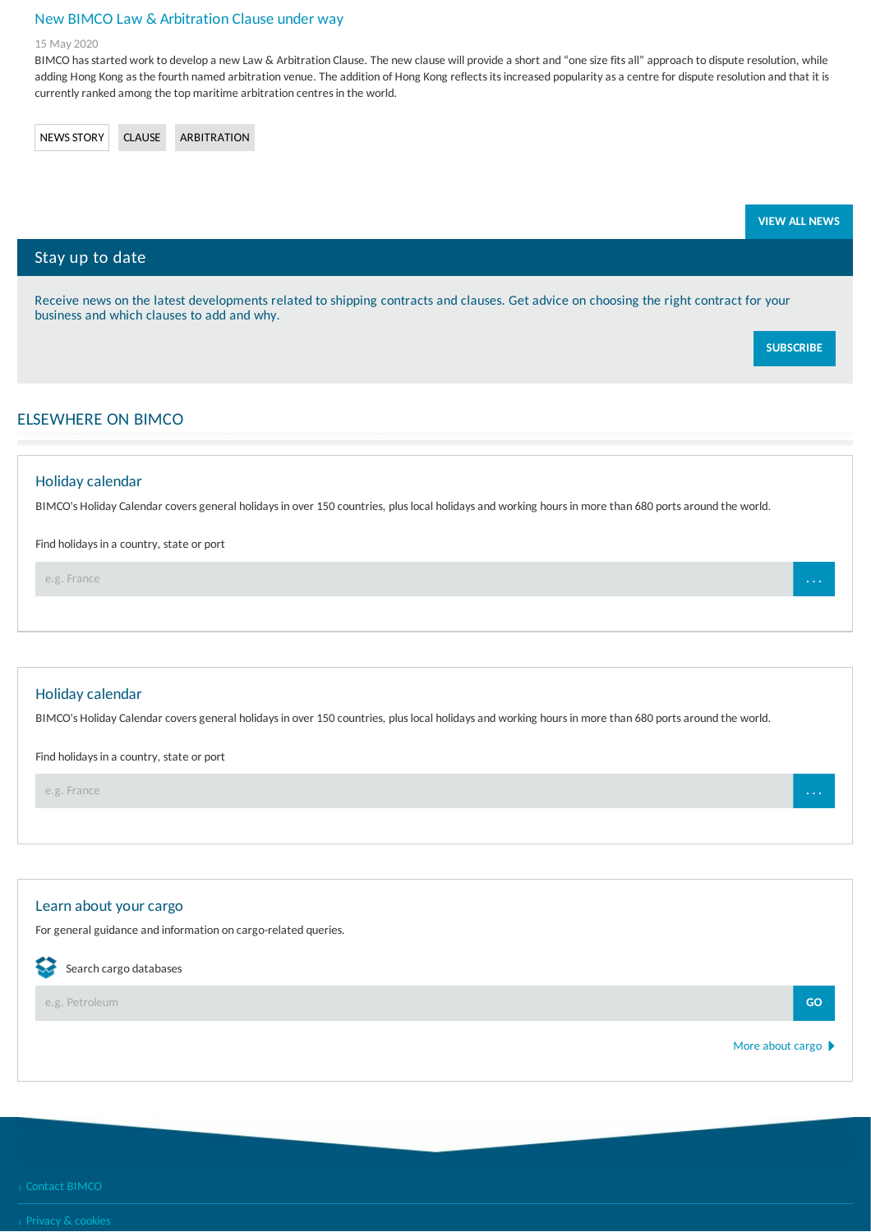## New BIMCO Law & [Arbitration](/news/contracts-and-clauses/20200515-new-bimco-law-and-arbitration-clause-under-way) Clause under way

#### 15 May 2020

BIMCO has started work to develop a new Law & Arbitration Clause. The new clause will provide a short and "one size fits all" approach to dispute resolution, while adding Hong Kong as the fourth named arbitration venue. The addition of Hong Kong reflects its increased popularity as a centre for dispute resolution and that it is currently ranked among the top maritime arbitration centres in the world.

[NEWSSTORY](/search-result?term=News story) [CLAUSE](/search-result?term=Clause) [ARBITRATION](/search-result?term=Arbitration)

|                                                                                                                                                                                     | <b>VIEW ALL NEWS</b> |
|-------------------------------------------------------------------------------------------------------------------------------------------------------------------------------------|----------------------|
| Stay up to date                                                                                                                                                                     |                      |
| Receive news on the latest developments related to shipping contracts and clauses. Get advice on choosing the right contract for your<br>business and which clauses to add and why. |                      |
|                                                                                                                                                                                     | <b>SUBSCRIBE</b>     |
| <b>ELSEWHERE ON BIMCO</b>                                                                                                                                                           |                      |
| Holiday calendar                                                                                                                                                                    |                      |
| BIMCO's Holiday Calendar covers general holidays in over 150 countries, plus local holidays and working hours in more than 680 ports around the world.                              |                      |

Find holidays in a country, state or port

e.g. France **. . .**

#### Holidaycalendar

BIMCO's Holiday Calendar covers general holidays in over 150 countries, plus local holidays and working hours in more than 680 ports around the world.

Find holidays in a country, state or port

e.g. France **. . .**

## Learn about your cargo

For general guidance and information on cargo-related queries.